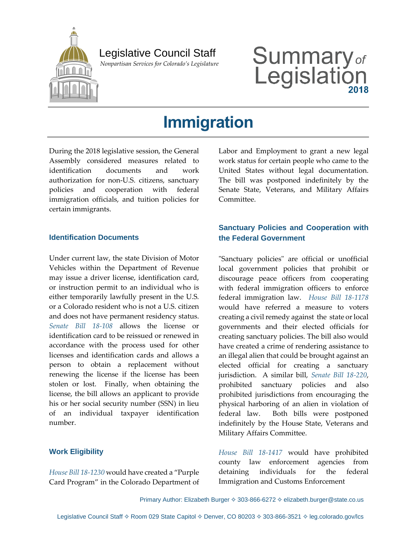

## Legislative Council Staff

 *Nonpartisan Services for Colorado's Legislature*

# Summary<sub>of</sub><br>Legislation

# **Immigration**

During the 2018 legislative session, the General Assembly considered measures related to identification documents and work authorization for non-U.S. citizens, sanctuary policies and cooperation with federal immigration officials, and tuition policies for certain immigrants.

#### **Identification Documents**

Under current law, the state Division of Motor Vehicles within the Department of Revenue may issue a driver license, identification card, or instruction permit to an individual who is either temporarily lawfully present in the U.S. or a Colorado resident who is not a U.S. citizen and does not have permanent residency status. *[Senate Bill 18-108](http://leg.colorado.gov/bills/sb18-108)* allows the license or identification card to be reissued or renewed in accordance with the process used for other licenses and identification cards and allows a person to obtain a replacement without renewing the license if the license has been stolen or lost. Finally, when obtaining the license, the bill allows an applicant to provide his or her social security number (SSN) in lieu of an individual taxpayer identification number.

#### **Work Eligibility**

*[House Bill 18-1230](http://leg.colorado.gov/bills/hb18-1230)* would have created a "Purple Card Program" in the Colorado Department of

Labor and Employment to grant a new legal work status for certain people who came to the United States without legal documentation. The bill was postponed indefinitely by the Senate State, Veterans, and Military Affairs Committee.

#### **Sanctuary Policies and Cooperation with the Federal Government**

"Sanctuary policies" are official or unofficial local government policies that prohibit or discourage peace officers from cooperating with federal immigration officers to enforce federal immigration law. *[House Bill 18-1178](http://leg.colorado.gov/bills/hb18-1178)* would have referred a measure to voters creating a civil remedy against the state or local governments and their elected officials for creating sanctuary policies. The bill also would have created a crime of rendering assistance to an illegal alien that could be brought against an elected official for creating a sanctuary jurisdiction. A similar bill, *[Senate Bill 18-220](http://leg.colorado.gov/bills/sb18-220)*, prohibited sanctuary policies and also prohibited jurisdictions from encouraging the physical harboring of an alien in violation of federal law. Both bills were postponed indefinitely by the House State, Veterans and Military Affairs Committee.

*[House Bill 18-1417](http://leg.colorado.gov/bills/hb18-1417)* would have prohibited county law enforcement agencies from detaining individuals for the federal Immigration and Customs Enforcement

Primary Author: Elizabeth Burger ♦ 303-866-6272 ♦ elizabeth.burger@state.co.us